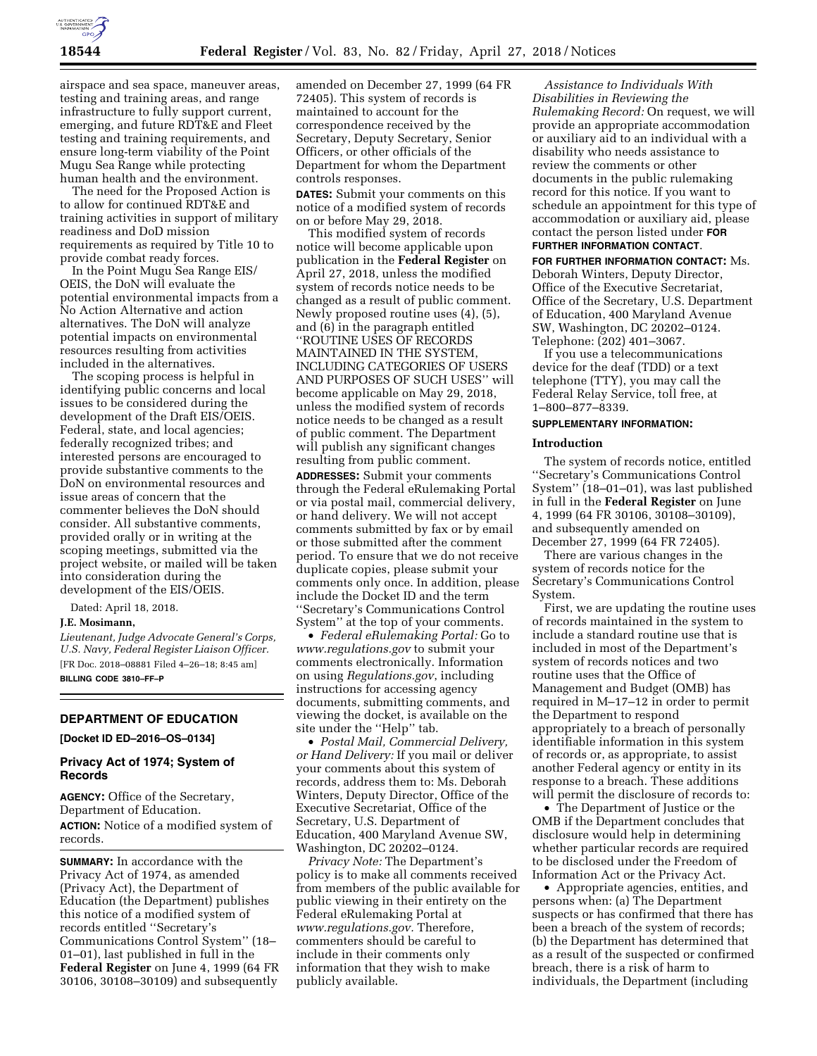

airspace and sea space, maneuver areas, testing and training areas, and range infrastructure to fully support current, emerging, and future RDT&E and Fleet testing and training requirements, and ensure long-term viability of the Point Mugu Sea Range while protecting human health and the environment.

The need for the Proposed Action is to allow for continued RDT&E and training activities in support of military readiness and DoD mission requirements as required by Title 10 to provide combat ready forces.

In the Point Mugu Sea Range EIS/ OEIS, the DoN will evaluate the potential environmental impacts from a No Action Alternative and action alternatives. The DoN will analyze potential impacts on environmental resources resulting from activities included in the alternatives.

The scoping process is helpful in identifying public concerns and local issues to be considered during the development of the Draft EIS/OEIS. Federal, state, and local agencies; federally recognized tribes; and interested persons are encouraged to provide substantive comments to the DoN on environmental resources and issue areas of concern that the commenter believes the DoN should consider. All substantive comments, provided orally or in writing at the scoping meetings, submitted via the project website, or mailed will be taken into consideration during the development of the EIS/OEIS.

Dated: April 18, 2018.

## **J.E. Mosimann,**

*Lieutenant, Judge Advocate General's Corps, U.S. Navy, Federal Register Liaison Officer.*  [FR Doc. 2018–08881 Filed 4–26–18; 8:45 am] **BILLING CODE 3810–FF–P** 

# **DEPARTMENT OF EDUCATION**

**[Docket ID ED–2016–OS–0134]** 

# **Privacy Act of 1974; System of Records**

**AGENCY:** Office of the Secretary, Department of Education. **ACTION:** Notice of a modified system of records.

**SUMMARY:** In accordance with the Privacy Act of 1974, as amended (Privacy Act), the Department of Education (the Department) publishes this notice of a modified system of records entitled ''Secretary's Communications Control System'' (18– 01–01), last published in full in the **Federal Register** on June 4, 1999 (64 FR 30106, 30108–30109) and subsequently

amended on December 27, 1999 (64 FR 72405). This system of records is maintained to account for the correspondence received by the Secretary, Deputy Secretary, Senior Officers, or other officials of the Department for whom the Department controls responses.

**DATES:** Submit your comments on this notice of a modified system of records on or before May 29, 2018.

This modified system of records notice will become applicable upon publication in the **Federal Register** on April 27, 2018, unless the modified system of records notice needs to be changed as a result of public comment. Newly proposed routine uses (4), (5), and (6) in the paragraph entitled ''ROUTINE USES OF RECORDS MAINTAINED IN THE SYSTEM, INCLUDING CATEGORIES OF USERS AND PURPOSES OF SUCH USES'' will become applicable on May 29, 2018, unless the modified system of records notice needs to be changed as a result of public comment. The Department will publish any significant changes resulting from public comment.

**ADDRESSES:** Submit your comments through the Federal eRulemaking Portal or via postal mail, commercial delivery, or hand delivery. We will not accept comments submitted by fax or by email or those submitted after the comment period. To ensure that we do not receive duplicate copies, please submit your comments only once. In addition, please include the Docket ID and the term ''Secretary's Communications Control System'' at the top of your comments.

• *Federal eRulemaking Portal:* Go to *[www.regulations.gov](http://www.regulations.gov)* to submit your comments electronically. Information on using *Regulations.gov*, including instructions for accessing agency documents, submitting comments, and viewing the docket, is available on the site under the "Help" tab.

• *Postal Mail, Commercial Delivery, or Hand Delivery:* If you mail or deliver your comments about this system of records, address them to: Ms. Deborah Winters, Deputy Director, Office of the Executive Secretariat, Office of the Secretary, U.S. Department of Education, 400 Maryland Avenue SW, Washington, DC 20202–0124.

*Privacy Note:* The Department's policy is to make all comments received from members of the public available for public viewing in their entirety on the Federal eRulemaking Portal at *[www.regulations.gov.](http://www.regulations.gov)* Therefore, commenters should be careful to include in their comments only information that they wish to make publicly available.

*Assistance to Individuals With Disabilities in Reviewing the Rulemaking Record:* On request, we will provide an appropriate accommodation or auxiliary aid to an individual with a disability who needs assistance to review the comments or other documents in the public rulemaking record for this notice. If you want to schedule an appointment for this type of accommodation or auxiliary aid, please contact the person listed under **FOR FURTHER INFORMATION CONTACT**.

**FOR FURTHER INFORMATION CONTACT:** Ms. Deborah Winters, Deputy Director, Office of the Executive Secretariat, Office of the Secretary, U.S. Department of Education, 400 Maryland Avenue SW, Washington, DC 20202–0124. Telephone: (202) 401–3067.

If you use a telecommunications device for the deaf (TDD) or a text telephone (TTY), you may call the Federal Relay Service, toll free, at 1–800–877–8339.

## **SUPPLEMENTARY INFORMATION:**

#### **Introduction**

The system of records notice, entitled ''Secretary's Communications Control System'' (18–01–01), was last published in full in the **Federal Register** on June 4, 1999 (64 FR 30106, 30108–30109), and subsequently amended on December 27, 1999 (64 FR 72405).

There are various changes in the system of records notice for the Secretary's Communications Control System.

First, we are updating the routine uses of records maintained in the system to include a standard routine use that is included in most of the Department's system of records notices and two routine uses that the Office of Management and Budget (OMB) has required in M–17–12 in order to permit the Department to respond appropriately to a breach of personally identifiable information in this system of records or, as appropriate, to assist another Federal agency or entity in its response to a breach. These additions will permit the disclosure of records to:

• The Department of Justice or the OMB if the Department concludes that disclosure would help in determining whether particular records are required to be disclosed under the Freedom of Information Act or the Privacy Act.

• Appropriate agencies, entities, and persons when: (a) The Department suspects or has confirmed that there has been a breach of the system of records; (b) the Department has determined that as a result of the suspected or confirmed breach, there is a risk of harm to individuals, the Department (including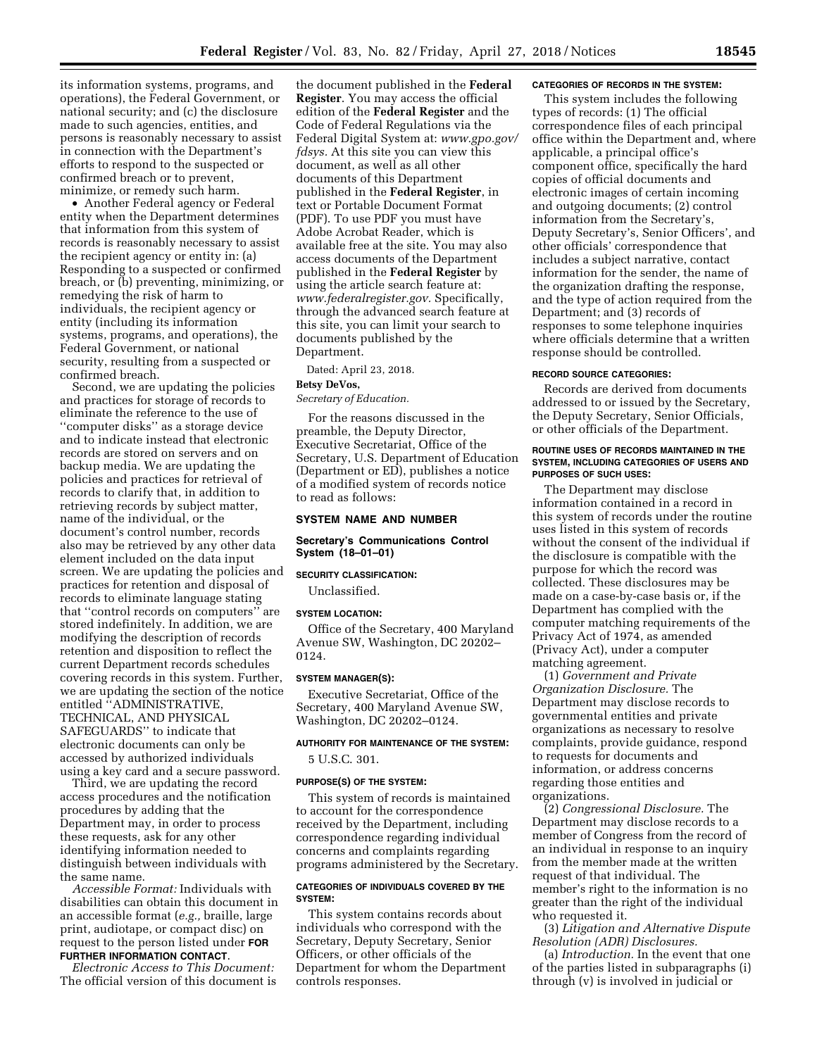its information systems, programs, and operations), the Federal Government, or national security; and (c) the disclosure made to such agencies, entities, and persons is reasonably necessary to assist in connection with the Department's efforts to respond to the suspected or confirmed breach or to prevent, minimize, or remedy such harm.

• Another Federal agency or Federal entity when the Department determines that information from this system of records is reasonably necessary to assist the recipient agency or entity in: (a) Responding to a suspected or confirmed breach, or (b) preventing, minimizing, or remedying the risk of harm to individuals, the recipient agency or entity (including its information systems, programs, and operations), the Federal Government, or national security, resulting from a suspected or confirmed breach.

Second, we are updating the policies and practices for storage of records to eliminate the reference to the use of ''computer disks'' as a storage device and to indicate instead that electronic records are stored on servers and on backup media. We are updating the policies and practices for retrieval of records to clarify that, in addition to retrieving records by subject matter, name of the individual, or the document's control number, records also may be retrieved by any other data element included on the data input screen. We are updating the policies and practices for retention and disposal of records to eliminate language stating that ''control records on computers'' are stored indefinitely. In addition, we are modifying the description of records retention and disposition to reflect the current Department records schedules covering records in this system. Further, we are updating the section of the notice entitled ''ADMINISTRATIVE, TECHNICAL, AND PHYSICAL SAFEGUARDS'' to indicate that electronic documents can only be accessed by authorized individuals using a key card and a secure password.

Third, we are updating the record access procedures and the notification procedures by adding that the Department may, in order to process these requests, ask for any other identifying information needed to distinguish between individuals with the same name.

*Accessible Format:* Individuals with disabilities can obtain this document in an accessible format (*e.g.,* braille, large print, audiotape, or compact disc) on request to the person listed under **FOR FURTHER INFORMATION CONTACT**.

# *Electronic Access to This Document:*

The official version of this document is

the document published in the **Federal Register**. You may access the official edition of the **Federal Register** and the Code of Federal Regulations via the Federal Digital System at: *[www.gpo.gov/](http://www.gpo.gov/fdsys)  [fdsys.](http://www.gpo.gov/fdsys)* At this site you can view this document, as well as all other documents of this Department published in the **Federal Register**, in text or Portable Document Format (PDF). To use PDF you must have Adobe Acrobat Reader, which is available free at the site. You may also access documents of the Department published in the **Federal Register** by using the article search feature at: *[www.federalregister.gov.](http://www.federalregister.gov)* Specifically, through the advanced search feature at this site, you can limit your search to documents published by the Department.

Dated: April 23, 2018.

# **Betsy DeVos,**

*Secretary of Education.* 

For the reasons discussed in the preamble, the Deputy Director, Executive Secretariat, Office of the Secretary, U.S. Department of Education (Department or ED), publishes a notice of a modified system of records notice to read as follows:

## **SYSTEM NAME AND NUMBER**

#### **Secretary's Communications Control System (18–01–01)**

## **SECURITY CLASSIFICATION:**

Unclassified.

### **SYSTEM LOCATION:**

Office of the Secretary, 400 Maryland Avenue SW, Washington, DC 20202– 0124.

#### **SYSTEM MANAGER(S):**

Executive Secretariat, Office of the Secretary, 400 Maryland Avenue SW, Washington, DC 20202–0124.

# **AUTHORITY FOR MAINTENANCE OF THE SYSTEM:**  5 U.S.C. 301.

#### **PURPOSE(S) OF THE SYSTEM:**

This system of records is maintained to account for the correspondence received by the Department, including correspondence regarding individual concerns and complaints regarding programs administered by the Secretary.

#### **CATEGORIES OF INDIVIDUALS COVERED BY THE SYSTEM:**

This system contains records about individuals who correspond with the Secretary, Deputy Secretary, Senior Officers, or other officials of the Department for whom the Department controls responses.

#### **CATEGORIES OF RECORDS IN THE SYSTEM:**

This system includes the following types of records: (1) The official correspondence files of each principal office within the Department and, where applicable, a principal office's component office, specifically the hard copies of official documents and electronic images of certain incoming and outgoing documents; (2) control information from the Secretary's, Deputy Secretary's, Senior Officers', and other officials' correspondence that includes a subject narrative, contact information for the sender, the name of the organization drafting the response, and the type of action required from the Department; and (3) records of responses to some telephone inquiries where officials determine that a written response should be controlled.

#### **RECORD SOURCE CATEGORIES:**

Records are derived from documents addressed to or issued by the Secretary, the Deputy Secretary, Senior Officials, or other officials of the Department.

#### **ROUTINE USES OF RECORDS MAINTAINED IN THE SYSTEM, INCLUDING CATEGORIES OF USERS AND PURPOSES OF SUCH USES:**

The Department may disclose information contained in a record in this system of records under the routine uses listed in this system of records without the consent of the individual if the disclosure is compatible with the purpose for which the record was collected. These disclosures may be made on a case-by-case basis or, if the Department has complied with the computer matching requirements of the Privacy Act of 1974, as amended (Privacy Act), under a computer matching agreement.

(1) *Government and Private Organization Disclosure.* The Department may disclose records to governmental entities and private organizations as necessary to resolve complaints, provide guidance, respond to requests for documents and information, or address concerns regarding those entities and organizations.

(2) *Congressional Disclosure.* The Department may disclose records to a member of Congress from the record of an individual in response to an inquiry from the member made at the written request of that individual. The member's right to the information is no greater than the right of the individual who requested it.

(3) *Litigation and Alternative Dispute Resolution (ADR) Disclosures.* 

(a) *Introduction.* In the event that one of the parties listed in subparagraphs (i) through (v) is involved in judicial or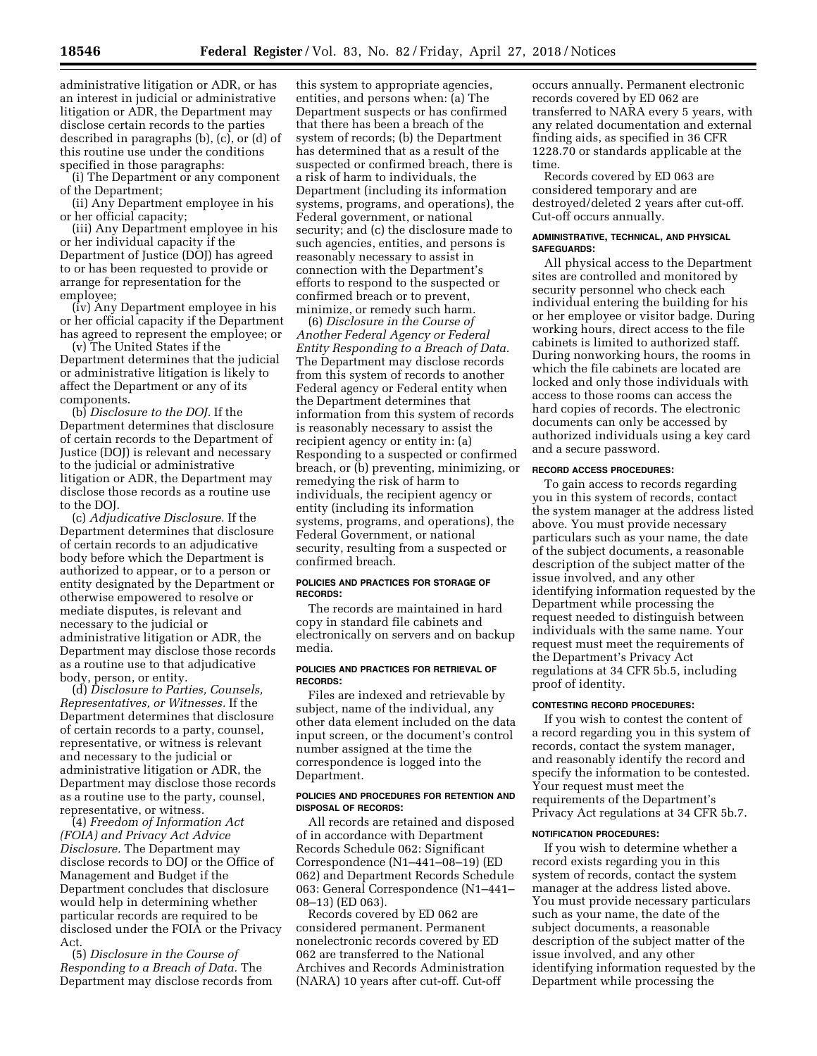administrative litigation or ADR, or has an interest in judicial or administrative litigation or ADR, the Department may disclose certain records to the parties described in paragraphs (b), (c), or (d) of this routine use under the conditions specified in those paragraphs:

(i) The Department or any component of the Department;

(ii) Any Department employee in his or her official capacity;

(iii) Any Department employee in his or her individual capacity if the Department of Justice (DOJ) has agreed to or has been requested to provide or arrange for representation for the employee;

(iv) Any Department employee in his or her official capacity if the Department has agreed to represent the employee; or

(v) The United States if the Department determines that the judicial or administrative litigation is likely to affect the Department or any of its components.

(b) *Disclosure to the DOJ.* If the Department determines that disclosure of certain records to the Department of Justice (DOJ) is relevant and necessary to the judicial or administrative litigation or ADR, the Department may disclose those records as a routine use to the DOJ.

(c) *Adjudicative Disclosure.* If the Department determines that disclosure of certain records to an adjudicative body before which the Department is authorized to appear, or to a person or entity designated by the Department or otherwise empowered to resolve or mediate disputes, is relevant and necessary to the judicial or administrative litigation or ADR, the Department may disclose those records as a routine use to that adjudicative body, person, or entity.

(d) *Disclosure to Parties, Counsels, Representatives, or Witnesses.* If the Department determines that disclosure of certain records to a party, counsel, representative, or witness is relevant and necessary to the judicial or administrative litigation or ADR, the Department may disclose those records as a routine use to the party, counsel, representative, or witness.

(4) *Freedom of Information Act (FOIA) and Privacy Act Advice Disclosure.* The Department may disclose records to DOJ or the Office of Management and Budget if the Department concludes that disclosure would help in determining whether particular records are required to be disclosed under the FOIA or the Privacy Act.

(5) *Disclosure in the Course of Responding to a Breach of Data.* The Department may disclose records from

this system to appropriate agencies, entities, and persons when: (a) The Department suspects or has confirmed that there has been a breach of the system of records; (b) the Department has determined that as a result of the suspected or confirmed breach, there is a risk of harm to individuals, the Department (including its information systems, programs, and operations), the Federal government, or national security; and (c) the disclosure made to such agencies, entities, and persons is reasonably necessary to assist in connection with the Department's efforts to respond to the suspected or confirmed breach or to prevent, minimize, or remedy such harm.

(6) *Disclosure in the Course of Another Federal Agency or Federal Entity Responding to a Breach of Data.*  The Department may disclose records from this system of records to another Federal agency or Federal entity when the Department determines that information from this system of records is reasonably necessary to assist the recipient agency or entity in: (a) Responding to a suspected or confirmed breach, or (b) preventing, minimizing, or remedying the risk of harm to individuals, the recipient agency or entity (including its information systems, programs, and operations), the Federal Government, or national security, resulting from a suspected or confirmed breach.

### **POLICIES AND PRACTICES FOR STORAGE OF RECORDS:**

The records are maintained in hard copy in standard file cabinets and electronically on servers and on backup media.

#### **POLICIES AND PRACTICES FOR RETRIEVAL OF RECORDS:**

Files are indexed and retrievable by subject, name of the individual, any other data element included on the data input screen, or the document's control number assigned at the time the correspondence is logged into the Department.

#### **POLICIES AND PROCEDURES FOR RETENTION AND DISPOSAL OF RECORDS:**

All records are retained and disposed of in accordance with Department Records Schedule 062: Significant Correspondence (N1–441–08–19) (ED 062) and Department Records Schedule 063: General Correspondence (N1–441– 08–13) (ED 063).

Records covered by ED 062 are considered permanent. Permanent nonelectronic records covered by ED 062 are transferred to the National Archives and Records Administration (NARA) 10 years after cut-off. Cut-off

occurs annually. Permanent electronic records covered by ED 062 are transferred to NARA every 5 years, with any related documentation and external finding aids, as specified in 36 CFR 1228.70 or standards applicable at the time.

Records covered by ED 063 are considered temporary and are destroyed/deleted 2 years after cut-off. Cut-off occurs annually.

#### **ADMINISTRATIVE, TECHNICAL, AND PHYSICAL SAFEGUARDS:**

All physical access to the Department sites are controlled and monitored by security personnel who check each individual entering the building for his or her employee or visitor badge. During working hours, direct access to the file cabinets is limited to authorized staff. During nonworking hours, the rooms in which the file cabinets are located are locked and only those individuals with access to those rooms can access the hard copies of records. The electronic documents can only be accessed by authorized individuals using a key card and a secure password.

## **RECORD ACCESS PROCEDURES:**

To gain access to records regarding you in this system of records, contact the system manager at the address listed above. You must provide necessary particulars such as your name, the date of the subject documents, a reasonable description of the subject matter of the issue involved, and any other identifying information requested by the Department while processing the request needed to distinguish between individuals with the same name. Your request must meet the requirements of the Department's Privacy Act regulations at 34 CFR 5b.5, including proof of identity.

#### **CONTESTING RECORD PROCEDURES:**

If you wish to contest the content of a record regarding you in this system of records, contact the system manager, and reasonably identify the record and specify the information to be contested. Your request must meet the requirements of the Department's Privacy Act regulations at 34 CFR 5b.7.

#### **NOTIFICATION PROCEDURES:**

If you wish to determine whether a record exists regarding you in this system of records, contact the system manager at the address listed above. You must provide necessary particulars such as your name, the date of the subject documents, a reasonable description of the subject matter of the issue involved, and any other identifying information requested by the Department while processing the